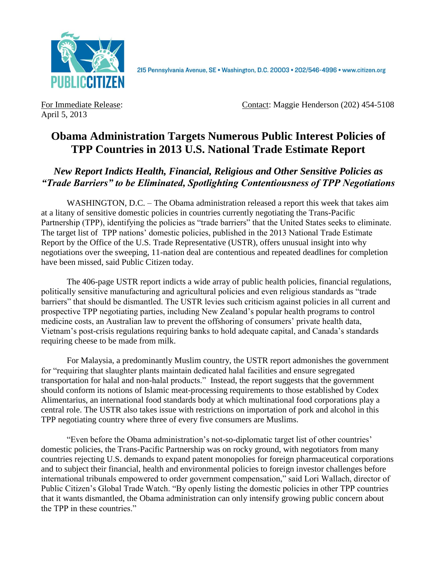

215 Pennsylvania Avenue, SE · Washington, D.C. 20003 · 202/546-4996 · www.citizen.org

April 5, 2013

For Immediate Release: Contact: Maggie Henderson (202) 454-5108

# **Obama Administration Targets Numerous Public Interest Policies of TPP Countries in 2013 U.S. National Trade Estimate Report**

# *New Report Indicts Health, Financial, Religious and Other Sensitive Policies as "Trade Barriers" to be Eliminated, Spotlighting Contentiousness of TPP Negotiations*

WASHINGTON, D.C. – The Obama administration released a report this week that takes aim at a litany of sensitive domestic policies in countries currently negotiating the Trans-Pacific Partnership (TPP), identifying the policies as "trade barriers" that the United States seeks to eliminate. The target list of TPP nations' domestic policies, published in the 2013 National Trade Estimate Report by the Office of the U.S. Trade Representative (USTR), offers unusual insight into why negotiations over the sweeping, 11-nation deal are contentious and repeated deadlines for completion have been missed, said Public Citizen today.

The 406-page USTR report indicts a wide array of public health policies, financial regulations, politically sensitive manufacturing and agricultural policies and even religious standards as "trade barriers" that should be dismantled. The USTR levies such criticism against policies in all current and prospective TPP negotiating parties, including New Zealand's popular health programs to control medicine costs, an Australian law to prevent the offshoring of consumers' private health data, Vietnam's post-crisis regulations requiring banks to hold adequate capital, and Canada's standards requiring cheese to be made from milk.

For Malaysia, a predominantly Muslim country, the USTR report admonishes the government for "requiring that slaughter plants maintain dedicated halal facilities and ensure segregated transportation for halal and non-halal products." Instead, the report suggests that the government should conform its notions of Islamic meat-processing requirements to those established by Codex Alimentarius, an international food standards body at which multinational food corporations play a central role. The USTR also takes issue with restrictions on importation of pork and alcohol in this TPP negotiating country where three of every five consumers are Muslims.

"Even before the Obama administration's not-so-diplomatic target list of other countries' domestic policies, the Trans-Pacific Partnership was on rocky ground, with negotiators from many countries rejecting U.S. demands to expand patent monopolies for foreign pharmaceutical corporations and to subject their financial, health and environmental policies to foreign investor challenges before international tribunals empowered to order government compensation," said Lori Wallach, director of Public Citizen's Global Trade Watch. "By openly listing the domestic policies in other TPP countries that it wants dismantled, the Obama administration can only intensify growing public concern about the TPP in these countries."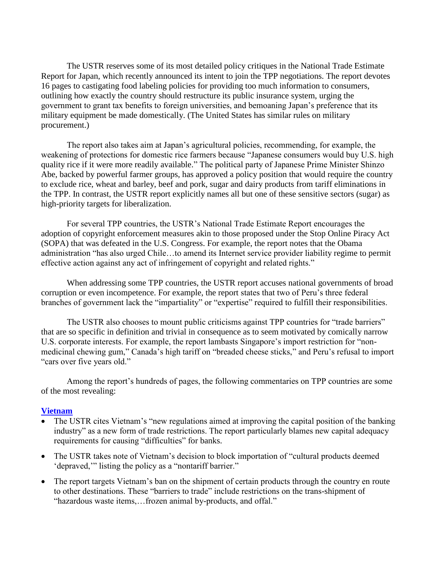The USTR reserves some of its most detailed policy critiques in the National Trade Estimate Report for Japan, which recently announced its intent to join the TPP negotiations. The report devotes 16 pages to castigating food labeling policies for providing too much information to consumers, outlining how exactly the country should restructure its public insurance system, urging the government to grant tax benefits to foreign universities, and bemoaning Japan's preference that its military equipment be made domestically. (The United States has similar rules on military procurement.)

The report also takes aim at Japan's agricultural policies, recommending, for example, the weakening of protections for domestic rice farmers because "Japanese consumers would buy U.S. high quality rice if it were more readily available." The political party of Japanese Prime Minister Shinzo Abe, backed by powerful farmer groups, has approved a policy position that would require the country to exclude rice, wheat and barley, beef and pork, sugar and dairy products from tariff eliminations in the TPP. In contrast, the USTR report explicitly names all but one of these sensitive sectors (sugar) as high-priority targets for liberalization.

For several TPP countries, the USTR's National Trade Estimate Report encourages the adoption of copyright enforcement measures akin to those proposed under the Stop Online Piracy Act (SOPA) that was defeated in the U.S. Congress. For example, the report notes that the Obama administration "has also urged Chile…to amend its Internet service provider liability regime to permit effective action against any act of infringement of copyright and related rights."

When addressing some TPP countries, the USTR report accuses national governments of broad corruption or even incompetence. For example, the report states that two of Peru's three federal branches of government lack the "impartiality" or "expertise" required to fulfill their responsibilities.

The USTR also chooses to mount public criticisms against TPP countries for "trade barriers" that are so specific in definition and trivial in consequence as to seem motivated by comically narrow U.S. corporate interests. For example, the report lambasts Singapore's import restriction for "nonmedicinal chewing gum," Canada's high tariff on "breaded cheese sticks," and Peru's refusal to import "cars over five years old."

Among the report's hundreds of pages, the following commentaries on TPP countries are some of the most revealing:

#### **[Vietnam](http://www.ustr.gov/sites/default/files/2013%20NTE%20Vietnam%20Final.pdf)**

- The USTR cites Vietnam's "new regulations aimed at improving the capital position of the banking industry" as a new form of trade restrictions. The report particularly blames new capital adequacy requirements for causing "difficulties" for banks.
- The USTR takes note of Vietnam's decision to block importation of "cultural products deemed 'depraved,'" listing the policy as a "nontariff barrier."
- The report targets Vietnam's ban on the shipment of certain products through the country en route to other destinations. These "barriers to trade" include restrictions on the trans-shipment of "hazardous waste items,…frozen animal by-products, and offal."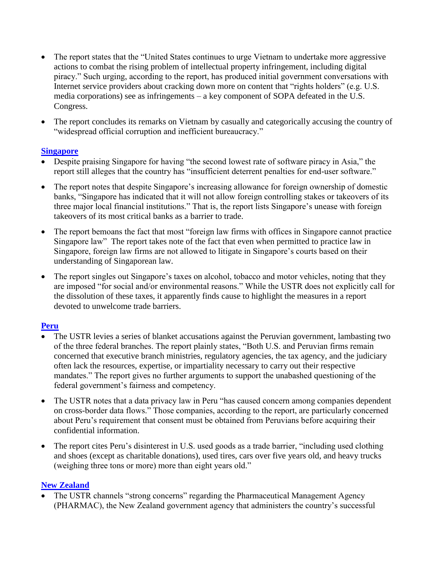- The report states that the "United States continues to urge Vietnam to undertake more aggressive actions to combat the rising problem of intellectual property infringement, including digital piracy." Such urging, according to the report, has produced initial government conversations with Internet service providers about cracking down more on content that "rights holders" (e.g. U.S. media corporations) see as infringements – a key component of SOPA defeated in the U.S. Congress.
- The report concludes its remarks on Vietnam by casually and categorically accusing the country of "widespread official corruption and inefficient bureaucracy."

#### **[Singapore](http://www.ustr.gov/sites/default/files/2013%20NTE%20Singapore%20Final.pdf)**

- Despite praising Singapore for having "the second lowest rate of software piracy in Asia," the report still alleges that the country has "insufficient deterrent penalties for end-user software."
- The report notes that despite Singapore's increasing allowance for foreign ownership of domestic banks, "Singapore has indicated that it will not allow foreign controlling stakes or takeovers of its three major local financial institutions." That is, the report lists Singapore's unease with foreign takeovers of its most critical banks as a barrier to trade.
- The report bemoans the fact that most "foreign law firms with offices in Singapore cannot practice Singapore law" The report takes note of the fact that even when permitted to practice law in Singapore, foreign law firms are not allowed to litigate in Singapore's courts based on their understanding of Singaporean law.
- The report singles out Singapore's taxes on alcohol, tobacco and motor vehicles, noting that they are imposed "for social and/or environmental reasons." While the USTR does not explicitly call for the dissolution of these taxes, it apparently finds cause to highlight the measures in a report devoted to unwelcome trade barriers.

#### **[Peru](http://www.ustr.gov/sites/default/files/2013%20NTE%20Peru%20Final.pdf)**

- The USTR levies a series of blanket accusations against the Peruvian government, lambasting two of the three federal branches. The report plainly states, "Both U.S. and Peruvian firms remain concerned that executive branch ministries, regulatory agencies, the tax agency, and the judiciary often lack the resources, expertise, or impartiality necessary to carry out their respective mandates." The report gives no further arguments to support the unabashed questioning of the federal government's fairness and competency.
- The USTR notes that a data privacy law in Peru "has caused concern among companies dependent on cross-border data flows." Those companies, according to the report, are particularly concerned about Peru's requirement that consent must be obtained from Peruvians before acquiring their confidential information.
- The report cites Peru's disinterest in U.S. used goods as a trade barrier, "including used clothing and shoes (except as charitable donations), used tires, cars over five years old, and heavy trucks (weighing three tons or more) more than eight years old."

#### **[New Zealand](http://www.ustr.gov/sites/default/files/2013%20NTE%20New%20Zealand%20Final.pdf)**

 The USTR channels "strong concerns" regarding the Pharmaceutical Management Agency (PHARMAC), the New Zealand government agency that administers the country's successful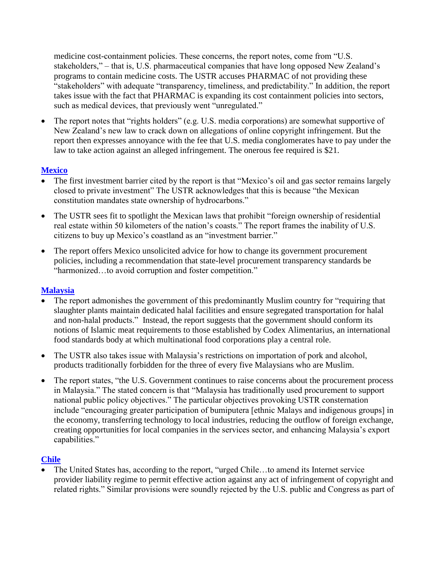medicine cost-containment policies. These concerns, the report notes, come from "U.S. stakeholders," – that is, U.S. pharmaceutical companies that have long opposed New Zealand's programs to contain medicine costs. The USTR accuses PHARMAC of not providing these "stakeholders" with adequate "transparency, timeliness, and predictability." In addition, the report takes issue with the fact that PHARMAC is expanding its cost containment policies into sectors, such as medical devices, that previously went "unregulated."

 The report notes that "rights holders" (e.g. U.S. media corporations) are somewhat supportive of New Zealand's new law to crack down on allegations of online copyright infringement. But the report then expresses annoyance with the fee that U.S. media conglomerates have to pay under the law to take action against an alleged infringement. The onerous fee required is \$21.

## **[Mexico](http://www.ustr.gov/sites/default/files/2013%20NTE%20Mexico%20Final.pdf)**

- The first investment barrier cited by the report is that "Mexico's oil and gas sector remains largely closed to private investment" The USTR acknowledges that this is because "the Mexican constitution mandates state ownership of hydrocarbons."
- The USTR sees fit to spotlight the Mexican laws that prohibit "foreign ownership of residential real estate within 50 kilometers of the nation's coasts." The report frames the inability of U.S. citizens to buy up Mexico's coastland as an "investment barrier."
- The report offers Mexico unsolicited advice for how to change its government procurement policies, including a recommendation that state-level procurement transparency standards be "harmonized…to avoid corruption and foster competition."

## **[Malaysia](http://www.ustr.gov/sites/default/files/2013%20NTE%20Malaysia%20Final.pdf)**

- The report admonishes the government of this predominantly Muslim country for "requiring that slaughter plants maintain dedicated halal facilities and ensure segregated transportation for halal and non-halal products." Instead, the report suggests that the government should conform its notions of Islamic meat requirements to those established by Codex Alimentarius, an international food standards body at which multinational food corporations play a central role.
- The USTR also takes issue with Malaysia's restrictions on importation of pork and alcohol, products traditionally forbidden for the three of every five Malaysians who are Muslim.
- The report states, "the U.S. Government continues to raise concerns about the procurement process in Malaysia." The stated concern is that "Malaysia has traditionally used procurement to support national public policy objectives." The particular objectives provoking USTR consternation include "encouraging greater participation of bumiputera [ethnic Malays and indigenous groups] in the economy, transferring technology to local industries, reducing the outflow of foreign exchange, creating opportunities for local companies in the services sector, and enhancing Malaysia's export capabilities."

## **[Chile](http://www.ustr.gov/sites/default/files/2013%20NTE%20Chile%20Final.pdf)**

 The United States has, according to the report, "urged Chile…to amend its Internet service provider liability regime to permit effective action against any act of infringement of copyright and related rights." Similar provisions were soundly rejected by the U.S. public and Congress as part of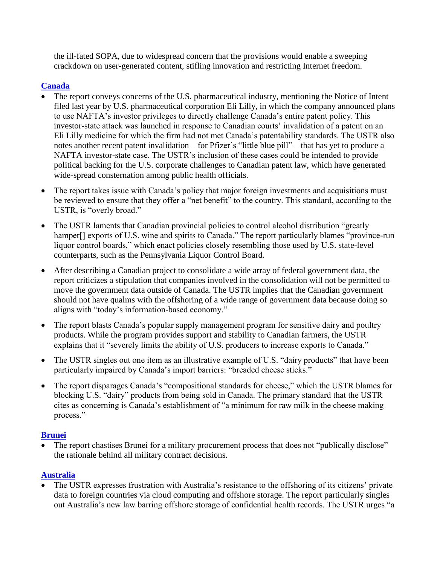the ill-fated SOPA, due to widespread concern that the provisions would enable a sweeping crackdown on user-generated content, stifling innovation and restricting Internet freedom.

# **[Canada](http://www.ustr.gov/sites/default/files/2013%20NTE%20Canada%20Final.pdf)**

- The report conveys concerns of the U.S. pharmaceutical industry, mentioning the Notice of Intent filed last year by U.S. pharmaceutical corporation Eli Lilly, in which the company announced plans to use NAFTA's investor privileges to directly challenge Canada's entire patent policy. This investor-state attack was launched in response to Canadian courts' invalidation of a patent on an Eli Lilly medicine for which the firm had not met Canada's patentability standards. The USTR also notes another recent patent invalidation – for Pfizer's "little blue pill" – that has yet to produce a NAFTA investor-state case. The USTR's inclusion of these cases could be intended to provide political backing for the U.S. corporate challenges to Canadian patent law, which have generated wide-spread consternation among public health officials.
- The report takes issue with Canada's policy that major foreign investments and acquisitions must be reviewed to ensure that they offer a "net benefit" to the country. This standard, according to the USTR, is "overly broad."
- The USTR laments that Canadian provincial policies to control alcohol distribution "greatly" hamper<sup>[]</sup> exports of U.S. wine and spirits to Canada." The report particularly blames "province-run liquor control boards," which enact policies closely resembling those used by U.S. state-level counterparts, such as the Pennsylvania Liquor Control Board.
- After describing a Canadian project to consolidate a wide array of federal government data, the report criticizes a stipulation that companies involved in the consolidation will not be permitted to move the government data outside of Canada. The USTR implies that the Canadian government should not have qualms with the offshoring of a wide range of government data because doing so aligns with "today's information-based economy."
- The report blasts Canada's popular supply management program for sensitive dairy and poultry products. While the program provides support and stability to Canadian farmers, the USTR explains that it "severely limits the ability of U.S. producers to increase exports to Canada."
- The USTR singles out one item as an illustrative example of U.S. "dairy products" that have been particularly impaired by Canada's import barriers: "breaded cheese sticks."
- The report disparages Canada's "compositional standards for cheese," which the USTR blames for blocking U.S. "dairy" products from being sold in Canada. The primary standard that the USTR cites as concerning is Canada's establishment of "a minimum for raw milk in the cheese making process."

## **[Brunei](http://www.ustr.gov/sites/default/files/2013%20NTE%20Brunei%20Final.pdf)**

 The report chastises Brunei for a military procurement process that does not "publically disclose" the rationale behind all military contract decisions.

## **[Australia](http://www.ustr.gov/sites/default/files/2013%20NTE%20Australia%20Final.pdf)**

 The USTR expresses frustration with Australia's resistance to the offshoring of its citizens' private data to foreign countries via cloud computing and offshore storage. The report particularly singles out Australia's new law barring offshore storage of confidential health records. The USTR urges "a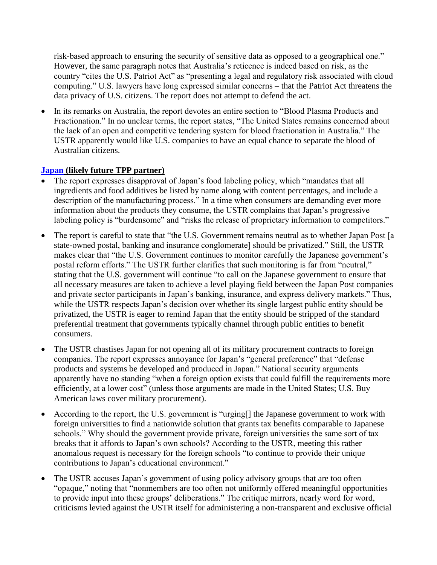risk-based approach to ensuring the security of sensitive data as opposed to a geographical one." However, the same paragraph notes that Australia's reticence is indeed based on risk, as the country "cites the U.S. Patriot Act" as "presenting a legal and regulatory risk associated with cloud computing." U.S. lawyers have long expressed similar concerns – that the Patriot Act threatens the data privacy of U.S. citizens. The report does not attempt to defend the act.

 In its remarks on Australia, the report devotes an entire section to "Blood Plasma Products and Fractionation." In no unclear terms, the report states, "The United States remains concerned about the lack of an open and competitive tendering system for blood fractionation in Australia." The USTR apparently would like U.S. companies to have an equal chance to separate the blood of Australian citizens.

#### **[Japan](http://www.ustr.gov/sites/default/files/2013%20NTE%20Japan%20Final.pdf) (likely future TPP partner)**

- The report expresses disapproval of Japan's food labeling policy, which "mandates that all ingredients and food additives be listed by name along with content percentages, and include a description of the manufacturing process." In a time when consumers are demanding ever more information about the products they consume, the USTR complains that Japan's progressive labeling policy is "burdensome" and "risks the release of proprietary information to competitors."
- The report is careful to state that "the U.S. Government remains neutral as to whether Japan Post [a state-owned postal, banking and insurance conglomerate] should be privatized." Still, the USTR makes clear that "the U.S. Government continues to monitor carefully the Japanese government's postal reform efforts." The USTR further clarifies that such monitoring is far from "neutral," stating that the U.S. government will continue "to call on the Japanese government to ensure that all necessary measures are taken to achieve a level playing field between the Japan Post companies and private sector participants in Japan's banking, insurance, and express delivery markets." Thus, while the USTR respects Japan's decision over whether its single largest public entity should be privatized, the USTR is eager to remind Japan that the entity should be stripped of the standard preferential treatment that governments typically channel through public entities to benefit consumers.
- The USTR chastises Japan for not opening all of its military procurement contracts to foreign companies. The report expresses annoyance for Japan's "general preference" that "defense products and systems be developed and produced in Japan." National security arguments apparently have no standing "when a foreign option exists that could fulfill the requirements more efficiently, at a lower cost" (unless those arguments are made in the United States; U.S. Buy American laws cover military procurement).
- According to the report, the U.S. government is "urging[] the Japanese government to work with foreign universities to find a nationwide solution that grants tax benefits comparable to Japanese schools." Why should the government provide private, foreign universities the same sort of tax breaks that it affords to Japan's own schools? According to the USTR, meeting this rather anomalous request is necessary for the foreign schools "to continue to provide their unique contributions to Japan's educational environment."
- The USTR accuses Japan's government of using policy advisory groups that are too often "opaque," noting that "nonmembers are too often not uniformly offered meaningful opportunities to provide input into these groups' deliberations." The critique mirrors, nearly word for word, criticisms levied against the USTR itself for administering a non-transparent and exclusive official